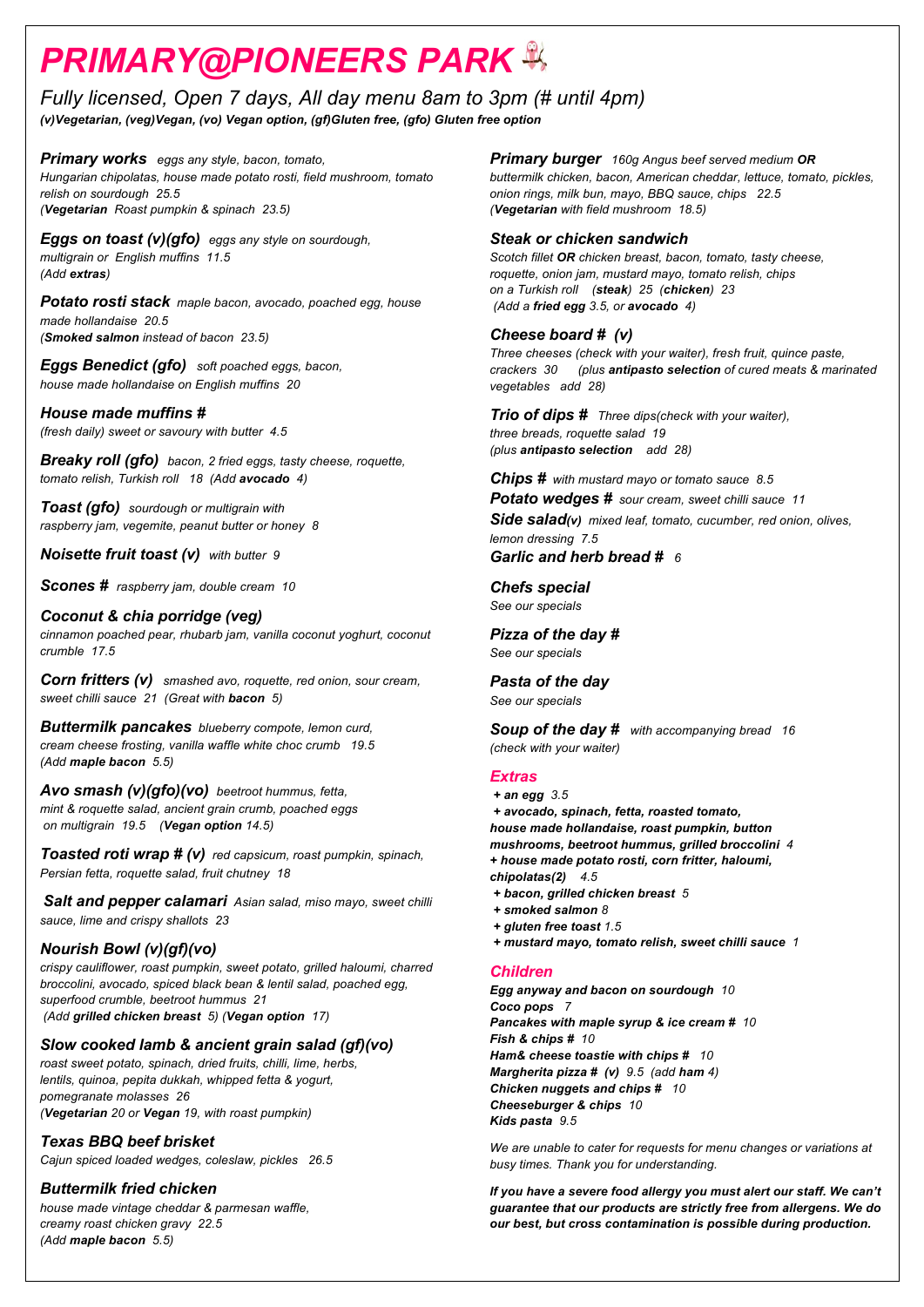# *PRIMARY@PIONEERS PARK*

*Fully licensed, Open 7 days, All day menu 8am to 3pm (# until 4pm) (v)Vegetarian, (veg)Vegan, (vo) Vegan option, (gf)Gluten free, (gfo) Gluten free option*

*Primary works eggs any style, bacon, tomato, Hungarian chipolatas, house made potato rosti, field mushroom, tomato relish on sourdough 25.5 (Vegetarian Roast pumpkin & spinach 23.5)*

*Eggs on toast (v)(gfo) eggs any style on sourdough, multigrain or English muffins 11.5 (Add extras)*

*Potato rosti stack maple bacon, avocado, poached egg, house made hollandaise 20.5 (Smoked salmon instead of bacon 23.5)*

*Eggs Benedict (gfo) soft poached eggs, bacon, house made hollandaise on English muffins 20*

*House made muffins # (fresh daily) sweet or savoury with butter 4.5*

*Breaky roll (gfo) bacon, 2 fried eggs, tasty cheese, roquette, tomato relish, Turkish roll 18 (Add avocado 4)* 

*Toast (gfo) sourdough or multigrain with raspberry jam, vegemite, peanut butter or honey 8*

*Noisette fruit toast (v) with butter 9* 

*Scones # raspberry jam, double cream 10* 

### *Coconut & chia porridge (veg)*

*cinnamon poached pear, rhubarb jam, vanilla coconut yoghurt, coconut crumble 17.5* 

*Corn fritters (v) smashed avo, roquette, red onion, sour cream, sweet chilli sauce 21 (Great with bacon 5)* 

*Buttermilk pancakes blueberry compote, lemon curd, cream cheese frosting, vanilla waffle white choc crumb 19.5 (Add maple bacon 5.5)*

*Avo smash (v)(gfo)(vo) beetroot hummus, fetta, mint & roquette salad, ancient grain crumb, poached eggs on multigrain 19.5 (Vegan option 14.5)*

*Toasted roti wrap # (v) red capsicum, roast pumpkin, spinach, Persian fetta, roquette salad, fruit chutney 18* 

*Salt and pepper calamari Asian salad, miso mayo, sweet chilli sauce, lime and crispy shallots 23*

### *Nourish Bowl (v)(gf)(vo)*

*crispy cauliflower, roast pumpkin, sweet potato, grilled haloumi, charred broccolini, avocado, spiced black bean & lentil salad, poached egg, superfood crumble, beetroot hummus 21 (Add grilled chicken breast 5) (Vegan option 17)*

## *Slow cooked lamb & ancient grain salad (gf)(vo)*

*roast sweet potato, spinach, dried fruits, chilli, lime, herbs, lentils, quinoa, pepita dukkah, whipped fetta & yogurt, pomegranate molasses 26 (Vegetarian 20 or Vegan 19, with roast pumpkin)* 

*Texas BBQ beef brisket* 

*Cajun spiced loaded wedges, coleslaw, pickles 26.5*

## *Buttermilk fried chicken*

*house made vintage cheddar & parmesan waffle, creamy roast chicken gravy 22.5 (Add maple bacon 5.5)*

*Primary burger 160g Angus beef served medium OR buttermilk chicken, bacon, American cheddar, lettuce, tomato, pickles, onion rings, milk bun, mayo, BBQ sauce, chips 22.5 (Vegetarian with field mushroom 18.5)*

## *Steak or chicken sandwich*

*Scotch fillet OR chicken breast, bacon, tomato, tasty cheese, roquette, onion jam, mustard mayo, tomato relish, chips on a Turkish roll (steak) 25 (chicken) 23 (Add a fried egg 3.5, or avocado 4)*

## *Cheese board # (v)*

*Three cheeses (check with your waiter), fresh fruit, quince paste, crackers 30 (plus antipasto selection of cured meats & marinated vegetables add 28)* 

*Trio of dips # Three dips(check with your waiter), three breads, roquette salad 19 (plus antipasto selection add 28)*

*Chips # with mustard mayo or tomato sauce 8.5 Potato wedges # sour cream, sweet chilli sauce 11*

*Side salad(v) mixed leaf, tomato, cucumber, red onion, olives, lemon dressing 7.5* 

*Garlic and herb bread # 6*

*Chefs special See our specials*

*Pizza of the day # See our specials*

*Pasta of the day See our specials*

*Soup of the day # with accompanying bread 16 (check with your waiter)*

## *Extras*

- *+ an egg 3.5 + avocado, spinach, fetta, roasted tomato, house made hollandaise, roast pumpkin, button mushrooms, beetroot hummus, grilled broccolini 4 + house made potato rosti, corn fritter, haloumi, chipolatas(2) 4.5*
- *+ bacon, grilled chicken breast 5*
- *+ smoked salmon 8 + gluten free toast 1.5*
- *+ mustard mayo, tomato relish, sweet chilli sauce 1*

### *Children*

*Egg anyway and bacon on sourdough 10 Coco pops 7 Pancakes with maple syrup & ice cream # 10 Fish & chips # 10 Ham& cheese toastie with chips # 10 Margherita pizza # (v) 9.5 (add ham 4) Chicken nuggets and chips # 10 Cheeseburger & chips 10 Kids pasta 9.5*

*We are unable to cater for requests for menu changes or variations at busy times. Thank you for understanding.* 

*If you have a severe food allergy you must alert our staff. We can't guarantee that our products are strictly free from allergens. We do our best, but cross contamination is possible during production.*